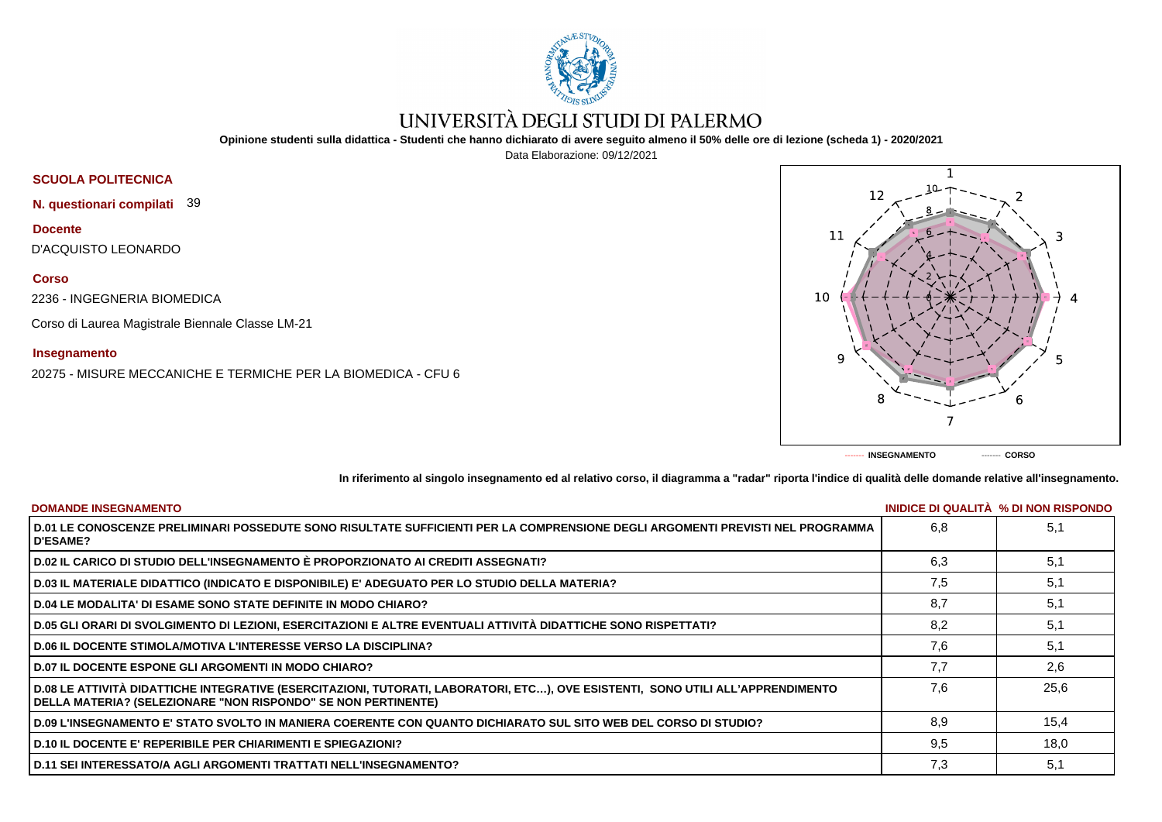

# UNIVERSITÀ DEGLI STUDI DI PALERMO

**Opinione studenti sulla didattica - Studenti che hanno dichiarato di avere seguito almeno il 50% delle ore di lezione (scheda 1) - 2020/2021**

Data Elaborazione: 09/12/2021

## **SCUOLA POLITECNICA**

**N. questionari compilati** 39

**Docente** D'ACQUISTO LEONARDO

### **Corso**

2236 - INGEGNERIA BIOMEDICA

Corso di Laurea Magistrale Biennale Classe LM-21

### **Insegnamento**

20275 - MISURE MECCANICHE E TERMICHE PER LA BIOMEDICA - CFU 6



**In riferimento al singolo insegnamento ed al relativo corso, il diagramma a "radar" riporta l'indice di qualità delle domande relative all'insegnamento.**

| <b>DOMANDE INSEGNAMENTO</b>                                                                                                                                                                             |     | INIDICE DI QUALITA % DI NON RISPONDO |
|---------------------------------------------------------------------------------------------------------------------------------------------------------------------------------------------------------|-----|--------------------------------------|
| D.01 LE CONOSCENZE PRELIMINARI POSSEDUTE SONO RISULTATE SUFFICIENTI PER LA COMPRENSIONE DEGLI ARGOMENTI PREVISTI NEL PROGRAMMA<br><b>D'ESAME?</b>                                                       | 6.8 | 5,1                                  |
| D.02 IL CARICO DI STUDIO DELL'INSEGNAMENTO È PROPORZIONATO AI CREDITI ASSEGNATI?                                                                                                                        | 6.3 | 5,1                                  |
| D.03 IL MATERIALE DIDATTICO (INDICATO E DISPONIBILE) E' ADEGUATO PER LO STUDIO DELLA MATERIA?                                                                                                           | 7,5 | 5,1                                  |
| D.04 LE MODALITA' DI ESAME SONO STATE DEFINITE IN MODO CHIARO?                                                                                                                                          | 8.7 | 5,1                                  |
| D.05 GLI ORARI DI SVOLGIMENTO DI LEZIONI, ESERCITAZIONI E ALTRE EVENTUALI ATTIVITÀ DIDATTICHE SONO RISPETTATI?                                                                                          | 8.2 | 5,1                                  |
| <b>D.06 IL DOCENTE STIMOLA/MOTIVA L'INTERESSE VERSO LA DISCIPLINA?</b>                                                                                                                                  | 7,6 | 5,1                                  |
| <b>D.07 IL DOCENTE ESPONE GLI ARGOMENTI IN MODO CHIARO?</b>                                                                                                                                             | 7.7 | 2.6                                  |
| D.08 LE ATTIVITÀ DIDATTICHE INTEGRATIVE (ESERCITAZIONI, TUTORATI, LABORATORI, ETC), OVE ESISTENTI, SONO UTILI ALL'APPRENDIMENTO<br><b>DELLA MATERIA? (SELEZIONARE "NON RISPONDO" SE NON PERTINENTE)</b> | 7.6 | 25,6                                 |
| D.09 L'INSEGNAMENTO E' STATO SVOLTO IN MANIERA COERENTE CON QUANTO DICHIARATO SUL SITO WEB DEL CORSO DI STUDIO?                                                                                         | 8.9 | 15,4                                 |
| <b>D.10 IL DOCENTE E' REPERIBILE PER CHIARIMENTI E SPIEGAZIONI?</b>                                                                                                                                     | 9.5 | 18,0                                 |
| ∣ D.11 SEI INTERESSATO/A AGLI ARGOMENTI TRATTATI NELL'INSEGNAMENTO?                                                                                                                                     | 7,3 | 5,1                                  |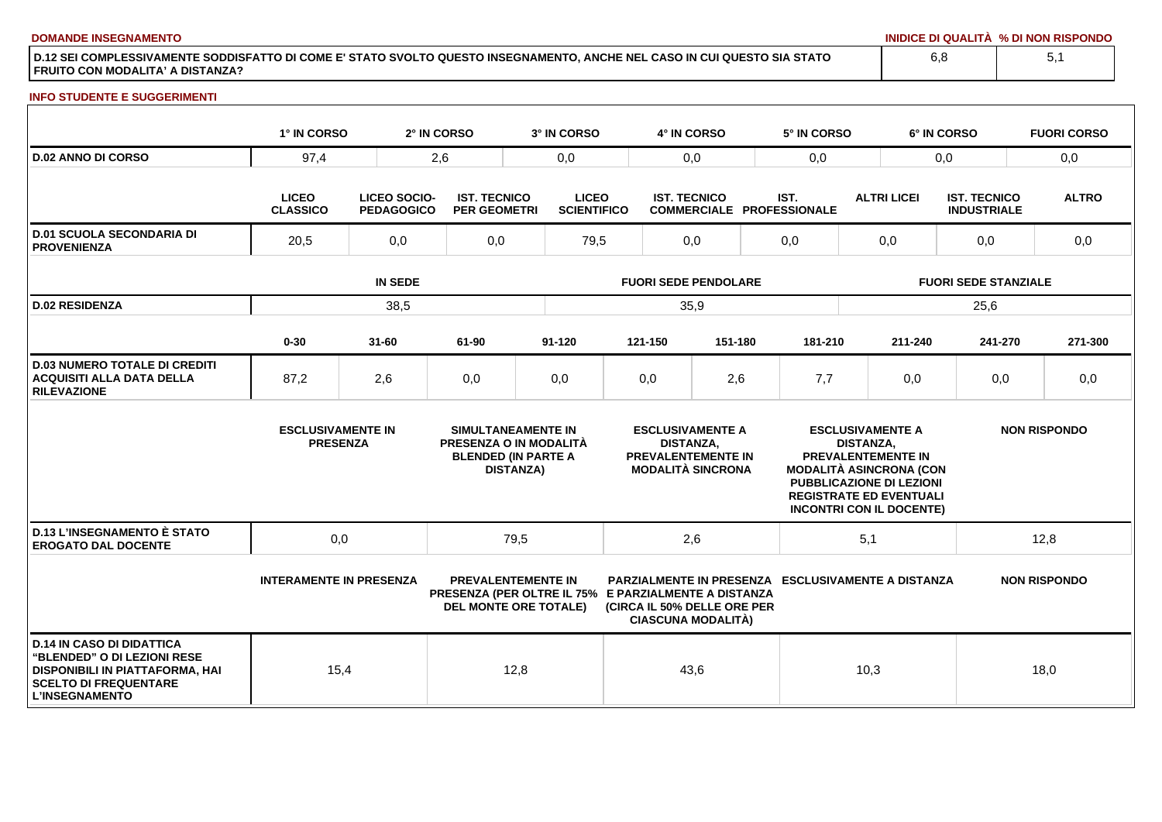**DOMANDE INSEGNAMENTO INIDICE DI QUALITÀ % DI NON RISPONDO**

**D.12 SEI COMPLESSIVAMENTE SODDISFATTO DI COME E' STATO SVOLTO QUESTO INSEGNAMENTO, ANCHE NEL CASO IN CUI QUESTO SIA STATO FRUITO CON MODALITA' A DISTANZA?**

#### **INFO STUDENTE E SUGGERIMENTI**

|                                                                                                                                                             | 1° IN CORSO                                 |                                          | 2° IN CORSO                                | 3° IN CORSO                                                                                                       |                                                                                                      | 4° IN CORSO                                             |                                                          | 5° IN CORSO                                                                                                                                                                                                        |                                                           | 6° IN CORSO                               | <b>FUORI CORSO</b>  |  |  |
|-------------------------------------------------------------------------------------------------------------------------------------------------------------|---------------------------------------------|------------------------------------------|--------------------------------------------|-------------------------------------------------------------------------------------------------------------------|------------------------------------------------------------------------------------------------------|---------------------------------------------------------|----------------------------------------------------------|--------------------------------------------------------------------------------------------------------------------------------------------------------------------------------------------------------------------|-----------------------------------------------------------|-------------------------------------------|---------------------|--|--|
| <b>D.02 ANNO DI CORSO</b>                                                                                                                                   | 97,4                                        |                                          | 2,6                                        | 0,0                                                                                                               |                                                                                                      |                                                         | 0,0                                                      |                                                                                                                                                                                                                    |                                                           | 0.0                                       | 0,0                 |  |  |
|                                                                                                                                                             | <b>LICEO</b><br><b>CLASSICO</b>             | <b>LICEO SOCIO-</b><br><b>PEDAGOGICO</b> | <b>IST. TECNICO</b><br><b>PER GEOMETRI</b> | <b>LICEO</b><br><b>SCIENTIFICO</b>                                                                                |                                                                                                      | <b>IST. TECNICO</b><br><b>COMMERCIALE PROFESSIONALE</b> |                                                          | IST.                                                                                                                                                                                                               | <b>ALTRI LICEI</b>                                        | <b>IST. TECNICO</b><br><b>INDUSTRIALE</b> | <b>ALTRO</b>        |  |  |
| <b>D.01 SCUOLA SECONDARIA DI</b><br><b>PROVENIENZA</b>                                                                                                      | 20,5                                        | 0,0                                      | 0,0                                        | 79,5                                                                                                              |                                                                                                      | 0,0                                                     |                                                          | 0,0                                                                                                                                                                                                                | 0,0                                                       | 0,0                                       | 0,0                 |  |  |
|                                                                                                                                                             |                                             | <b>IN SEDE</b>                           |                                            |                                                                                                                   | <b>FUORI SEDE PENDOLARE</b>                                                                          |                                                         |                                                          |                                                                                                                                                                                                                    |                                                           | <b>FUORI SEDE STANZIALE</b>               |                     |  |  |
| <b>D.02 RESIDENZA</b>                                                                                                                                       |                                             | 38,5                                     |                                            |                                                                                                                   |                                                                                                      | 35,9                                                    |                                                          |                                                                                                                                                                                                                    |                                                           | 25,6                                      |                     |  |  |
|                                                                                                                                                             | $0 - 30$                                    | $31 - 60$                                | 61-90                                      | 91-120                                                                                                            |                                                                                                      | 121-150                                                 | 151-180                                                  | 181-210                                                                                                                                                                                                            | 211-240                                                   | 241-270                                   | 271-300             |  |  |
| <b>D.03 NUMERO TOTALE DI CREDITI</b><br><b>ACQUISITI ALLA DATA DELLA</b><br><b>RILEVAZIONE</b>                                                              | 87,2                                        | 2,6                                      | 0,0                                        | 0,0                                                                                                               |                                                                                                      | 0,0                                                     | 2,6                                                      | 7,7                                                                                                                                                                                                                | 0,0                                                       | 0,0                                       | 0,0                 |  |  |
|                                                                                                                                                             | <b>ESCLUSIVAMENTE IN</b><br><b>PRESENZA</b> |                                          |                                            | SIMULTANEAMENTE IN<br>PRESENZA O IN MODALITÀ<br><b>BLENDED (IN PARTE A</b><br><b>DISTANZA)</b>                    | <b>ESCLUSIVAMENTE A</b><br><b>DISTANZA.</b><br><b>PREVALENTEMENTE IN</b><br><b>MODALITÀ SINCRONA</b> |                                                         |                                                          | <b>ESCLUSIVAMENTE A</b><br><b>DISTANZA.</b><br><b>PREVALENTEMENTE IN</b><br><b>MODALITÀ ASINCRONA (CON</b><br><b>PUBBLICAZIONE DI LEZIONI</b><br><b>REGISTRATE ED EVENTUALI</b><br><b>INCONTRI CON IL DOCENTE)</b> |                                                           | <b>NON RISPONDO</b>                       |                     |  |  |
| <b>D.13 L'INSEGNAMENTO È STATO</b><br><b>EROGATO DAL DOCENTE</b>                                                                                            | 0,0                                         |                                          |                                            | 79,5                                                                                                              | 2,6                                                                                                  |                                                         |                                                          | 5,1                                                                                                                                                                                                                |                                                           | 12,8                                      |                     |  |  |
|                                                                                                                                                             | <b>INTERAMENTE IN PRESENZA</b>              |                                          |                                            | <b>PREVALENTEMENTE IN</b><br>PRESENZA (PER OLTRE IL 75% E PARZIALMENTE A DISTANZA<br><b>DEL MONTE ORE TOTALE)</b> |                                                                                                      |                                                         | (CIRCA IL 50% DELLE ORE PER<br><b>CIASCUNA MODALITÀ)</b> |                                                                                                                                                                                                                    | <b>PARZIALMENTE IN PRESENZA ESCLUSIVAMENTE A DISTANZA</b> |                                           | <b>NON RISPONDO</b> |  |  |
| <b>D.14 IN CASO DI DIDATTICA</b><br>"BLENDED" O DI LEZIONI RESE<br>DISPONIBILI IN PIATTAFORMA, HAI<br><b>SCELTO DI FREQUENTARE</b><br><b>L'INSEGNAMENTO</b> | 15,4                                        |                                          |                                            | 12,8                                                                                                              |                                                                                                      | 43,6                                                    |                                                          |                                                                                                                                                                                                                    | 10,3                                                      |                                           | 18,0                |  |  |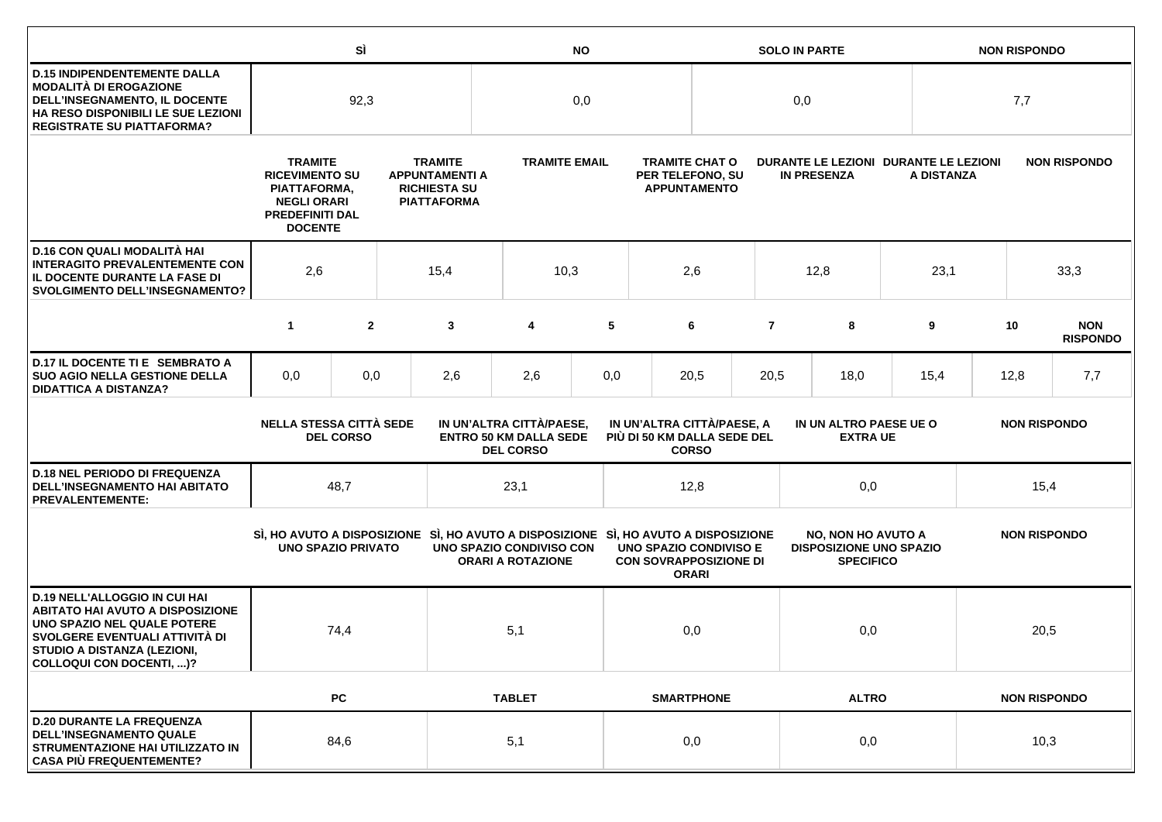|                                                                                                                                                                                                             |                                                                                                                           | SÌ               |     | <b>NO</b>                                                                                                    |                                                                                                                                                                                                                                                                                                                  |     |                                                                  |                                                                                                                        | <b>SOLO IN PARTE</b> |                    | <b>NON RISPONDO</b> |                                                     |      |                               |
|-------------------------------------------------------------------------------------------------------------------------------------------------------------------------------------------------------------|---------------------------------------------------------------------------------------------------------------------------|------------------|-----|--------------------------------------------------------------------------------------------------------------|------------------------------------------------------------------------------------------------------------------------------------------------------------------------------------------------------------------------------------------------------------------------------------------------------------------|-----|------------------------------------------------------------------|------------------------------------------------------------------------------------------------------------------------|----------------------|--------------------|---------------------|-----------------------------------------------------|------|-------------------------------|
| <b>D.15 INDIPENDENTEMENTE DALLA</b><br><b>MODALITÀ DI EROGAZIONE</b><br>DELL'INSEGNAMENTO, IL DOCENTE<br>HA RESO DISPONIBILI LE SUE LEZIONI<br><b>REGISTRATE SU PIATTAFORMA?</b>                            | 92,3                                                                                                                      |                  | 0,0 |                                                                                                              |                                                                                                                                                                                                                                                                                                                  | 0,0 |                                                                  |                                                                                                                        |                      | 7,7                |                     |                                                     |      |                               |
|                                                                                                                                                                                                             | <b>TRAMITE</b><br><b>RICEVIMENTO SU</b><br>PIATTAFORMA,<br><b>NEGLI ORARI</b><br><b>PREDEFINITI DAL</b><br><b>DOCENTE</b> |                  |     | <b>TRAMITE</b><br><b>TRAMITE EMAIL</b><br><b>APPUNTAMENTI A</b><br><b>RICHIESTA SU</b><br><b>PIATTAFORMA</b> |                                                                                                                                                                                                                                                                                                                  |     | <b>TRAMITE CHAT O</b><br>PER TELEFONO, SU<br><b>APPUNTAMENTO</b> |                                                                                                                        |                      | <b>IN PRESENZA</b> |                     | DURANTE LE LEZIONI DURANTE LE LEZIONI<br>A DISTANZA |      | <b>NON RISPONDO</b>           |
| D.16 CON QUALI MODALITÀ HAI<br><b>INTERAGITO PREVALENTEMENTE CON</b><br>IL DOCENTE DURANTE LA FASE DI<br><b>SVOLGIMENTO DELL'INSEGNAMENTO?</b>                                                              | 2,6                                                                                                                       | 15,4             |     |                                                                                                              | 10,3                                                                                                                                                                                                                                                                                                             |     | 2,6                                                              |                                                                                                                        |                      | 12,8               | 23,1                |                                                     | 33,3 |                               |
|                                                                                                                                                                                                             | $\mathbf{1}$                                                                                                              | $\overline{2}$   |     | 3                                                                                                            | 4                                                                                                                                                                                                                                                                                                                | 5   |                                                                  | 6                                                                                                                      | $\overline{7}$       | 8                  | 9                   |                                                     | 10   | <b>NON</b><br><b>RISPONDO</b> |
| D.17 IL DOCENTE TI E SEMBRATO A<br><b>SUO AGIO NELLA GESTIONE DELLA</b><br><b>DIDATTICA A DISTANZA?</b>                                                                                                     | 0,0                                                                                                                       | 0,0              |     | 2,6                                                                                                          | 2,6                                                                                                                                                                                                                                                                                                              | 0,0 |                                                                  | 20,5                                                                                                                   | 20,5                 | 18,0               | 15,4                | 12,8                                                |      | 7,7                           |
|                                                                                                                                                                                                             | <b>NELLA STESSA CITTÀ SEDE</b>                                                                                            | <b>DEL CORSO</b> |     | IN UN'ALTRA CITTÀ/PAESE,<br><b>ENTRO 50 KM DALLA SEDE</b><br><b>DEL CORSO</b>                                |                                                                                                                                                                                                                                                                                                                  |     |                                                                  | IN UN'ALTRA CITTÀ/PAESE, A<br>IN UN ALTRO PAESE UE O<br>PIÙ DI 50 KM DALLA SEDE DEL<br><b>EXTRA UE</b><br><b>CORSO</b> |                      |                    |                     | <b>NON RISPONDO</b>                                 |      |                               |
| <b>D.18 NEL PERIODO DI FREQUENZA</b><br><b>DELL'INSEGNAMENTO HAI ABITATO</b><br><b>PREVALENTEMENTE:</b>                                                                                                     |                                                                                                                           | 48,7             |     |                                                                                                              | 23,1                                                                                                                                                                                                                                                                                                             |     | 12,8                                                             |                                                                                                                        |                      | 0,0                |                     | 15,4                                                |      |                               |
|                                                                                                                                                                                                             | <b>UNO SPAZIO PRIVATO</b>                                                                                                 |                  |     |                                                                                                              | SI, HO AVUTO A DISPOSIZIONE SI, HO AVUTO A DISPOSIZIONE SI, HO AVUTO A DISPOSIZIONE<br><b>NO, NON HO AVUTO A</b><br>UNO SPAZIO CONDIVISO CON<br><b>UNO SPAZIO CONDIVISO E</b><br><b>DISPOSIZIONE UNO SPAZIO</b><br><b>CON SOVRAPPOSIZIONE DI</b><br><b>ORARI A ROTAZIONE</b><br><b>SPECIFICO</b><br><b>ORARI</b> |     |                                                                  | <b>NON RISPONDO</b>                                                                                                    |                      |                    |                     |                                                     |      |                               |
| <b>D.19 NELL'ALLOGGIO IN CUI HAI</b><br><b>ABITATO HAI AVUTO A DISPOSIZIONE</b><br>UNO SPAZIO NEL QUALE POTERE<br>SVOLGERE EVENTUALI ATTIVITÀ DI<br>STUDIO A DISTANZA (LEZIONI,<br>COLLOQUI CON DOCENTI, )? |                                                                                                                           | 74,4             |     |                                                                                                              | 5,1                                                                                                                                                                                                                                                                                                              |     | 0,0                                                              |                                                                                                                        |                      | 0,0                |                     |                                                     | 20,5 |                               |
|                                                                                                                                                                                                             |                                                                                                                           | <b>PC</b>        |     |                                                                                                              | <b>TABLET</b>                                                                                                                                                                                                                                                                                                    |     | <b>SMARTPHONE</b>                                                |                                                                                                                        |                      | <b>ALTRO</b>       |                     | <b>NON RISPONDO</b>                                 |      |                               |
| <b>D.20 DURANTE LA FREQUENZA</b><br><b>DELL'INSEGNAMENTO QUALE</b><br>STRUMENTAZIONE HAI UTILIZZATO IN<br><b>CASA PIÙ FREQUENTEMENTE?</b>                                                                   |                                                                                                                           | 84,6             |     |                                                                                                              | 5,1                                                                                                                                                                                                                                                                                                              |     |                                                                  | 0,0                                                                                                                    |                      | 0,0                |                     |                                                     | 10,3 |                               |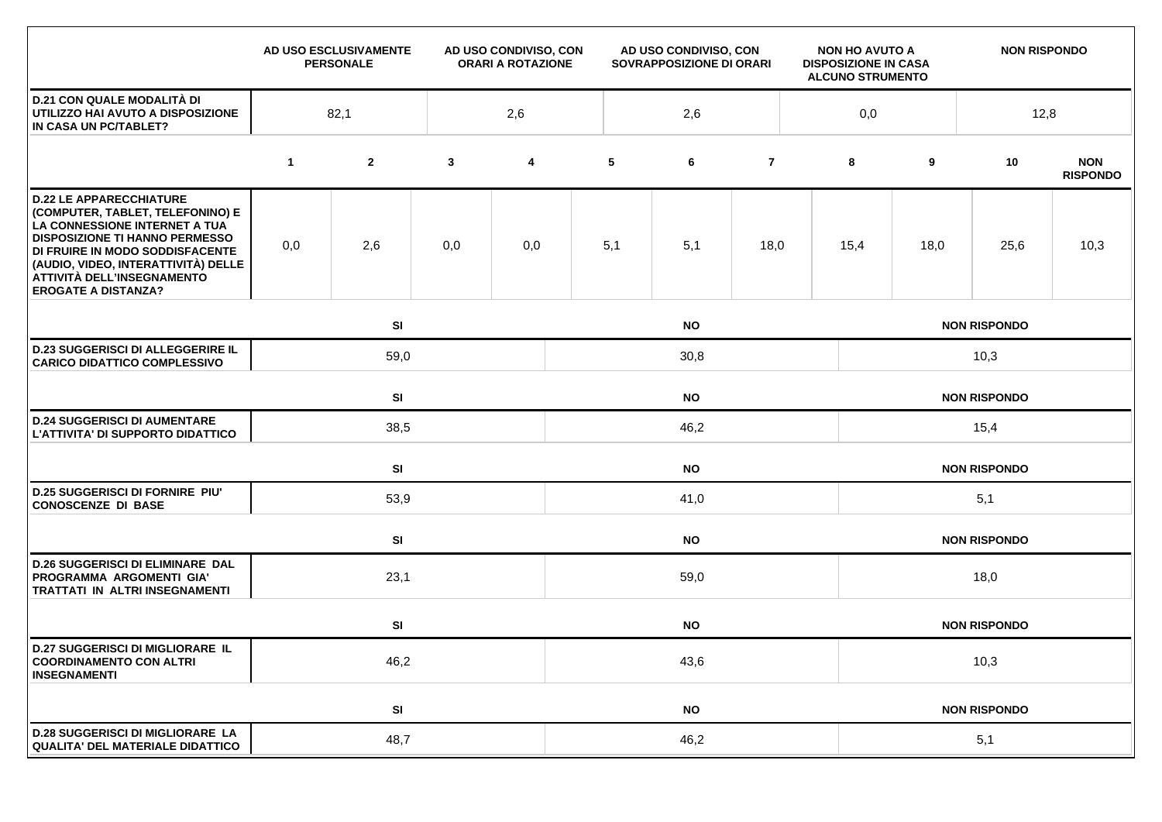|                                                                                                                                                                                                                                                                                    |             | AD USO ESCLUSIVAMENTE<br><b>PERSONALE</b> |              | AD USO CONDIVISO, CON<br><b>ORARI A ROTAZIONE</b> | AD USO CONDIVISO, CON<br>SOVRAPPOSIZIONE DI ORARI |           |                | <b>NON HO AVUTO A</b><br><b>DISPOSIZIONE IN CASA</b><br><b>ALCUNO STRUMENTO</b> |                     | <b>NON RISPONDO</b> |                     |                               |  |  |
|------------------------------------------------------------------------------------------------------------------------------------------------------------------------------------------------------------------------------------------------------------------------------------|-------------|-------------------------------------------|--------------|---------------------------------------------------|---------------------------------------------------|-----------|----------------|---------------------------------------------------------------------------------|---------------------|---------------------|---------------------|-------------------------------|--|--|
| <b>D.21 CON QUALE MODALITÀ DI</b><br>UTILIZZO HAI AVUTO A DISPOSIZIONE<br>IN CASA UN PC/TABLET?                                                                                                                                                                                    |             | 82,1                                      |              | 2,6                                               |                                                   | 2,6       |                |                                                                                 | 0,0                 |                     | 12,8                |                               |  |  |
|                                                                                                                                                                                                                                                                                    | $\mathbf 1$ | $\mathbf{2}$                              | $\mathbf{3}$ | $\overline{\mathbf{4}}$                           | 5                                                 | 6         | $\overline{7}$ |                                                                                 | 8                   | 9                   | 10                  | <b>NON</b><br><b>RISPONDO</b> |  |  |
| <b>D.22 LE APPARECCHIATURE</b><br>(COMPUTER, TABLET, TELEFONINO) E<br>LA CONNESSIONE INTERNET A TUA<br><b>DISPOSIZIONE TI HANNO PERMESSO</b><br>DI FRUIRE IN MODO SODDISFACENTE<br>(AUDIO, VIDEO, INTERATTIVITÀ) DELLE<br>ATTIVITÀ DELL'INSEGNAMENTO<br><b>EROGATE A DISTANZA?</b> | 0,0         | 2,6                                       | 0,0          | 0,0                                               | 5,1                                               | 5,1       | 18,0           |                                                                                 | 15,4                | 18,0                | 25,6                | 10,3                          |  |  |
|                                                                                                                                                                                                                                                                                    |             | SI                                        |              |                                                   |                                                   | <b>NO</b> |                |                                                                                 | <b>NON RISPONDO</b> |                     |                     |                               |  |  |
| <b>D.23 SUGGERISCI DI ALLEGGERIRE IL</b><br><b>CARICO DIDATTICO COMPLESSIVO</b>                                                                                                                                                                                                    |             | 59,0                                      |              |                                                   | 30,8                                              |           |                |                                                                                 |                     | 10,3                |                     |                               |  |  |
|                                                                                                                                                                                                                                                                                    |             | SI                                        |              | <b>NO</b>                                         |                                                   |           |                |                                                                                 |                     |                     | <b>NON RISPONDO</b> |                               |  |  |
| <b>D.24 SUGGERISCI DI AUMENTARE</b><br>L'ATTIVITA' DI SUPPORTO DIDATTICO                                                                                                                                                                                                           |             | 38,5                                      |              |                                                   | 46,2                                              |           |                |                                                                                 |                     | 15,4                |                     |                               |  |  |
|                                                                                                                                                                                                                                                                                    |             | SI                                        |              |                                                   | <b>NO</b><br><b>NON RISPONDO</b>                  |           |                |                                                                                 |                     |                     |                     |                               |  |  |
| <b>D.25 SUGGERISCI DI FORNIRE PIU'</b><br><b>CONOSCENZE DI BASE</b>                                                                                                                                                                                                                |             | 53,9                                      |              |                                                   | 41,0                                              |           |                |                                                                                 |                     | 5,1                 |                     |                               |  |  |
|                                                                                                                                                                                                                                                                                    |             | SI                                        |              |                                                   | <b>NO</b>                                         |           |                |                                                                                 |                     | <b>NON RISPONDO</b> |                     |                               |  |  |
| <b>D.26 SUGGERISCI DI ELIMINARE DAL</b><br>PROGRAMMA ARGOMENTI GIA'<br><b>TRATTATI IN ALTRI INSEGNAMENTI</b>                                                                                                                                                                       |             | 23,1                                      |              |                                                   | 59,0                                              |           |                |                                                                                 |                     | 18,0                |                     |                               |  |  |
|                                                                                                                                                                                                                                                                                    |             | SI                                        |              |                                                   |                                                   | <b>NO</b> |                |                                                                                 |                     |                     | <b>NON RISPONDO</b> |                               |  |  |
| <b>D.27 SUGGERISCI DI MIGLIORARE IL</b><br><b>COORDINAMENTO CON ALTRI</b><br><b>INSEGNAMENTI</b>                                                                                                                                                                                   | 46,2        |                                           |              |                                                   | 43,6                                              |           |                |                                                                                 |                     | 10,3                |                     |                               |  |  |
|                                                                                                                                                                                                                                                                                    |             | SI                                        |              |                                                   |                                                   | <b>NO</b> |                |                                                                                 |                     |                     | <b>NON RISPONDO</b> |                               |  |  |
| <b>D.28 SUGGERISCI DI MIGLIORARE LA</b><br><b>QUALITA' DEL MATERIALE DIDATTICO</b>                                                                                                                                                                                                 |             | 48,7                                      |              |                                                   | 46,2                                              |           |                |                                                                                 |                     | 5,1                 |                     |                               |  |  |